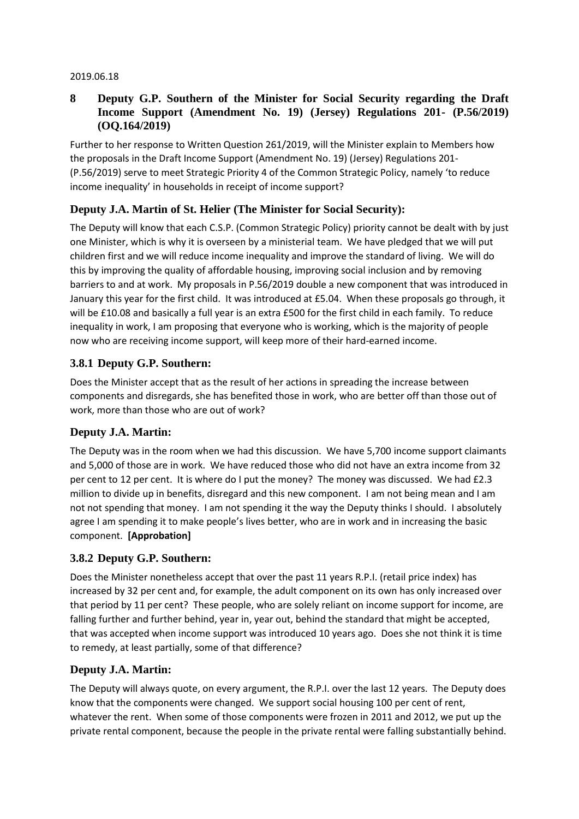#### 2019.06.18

### **8 Deputy G.P. Southern of the Minister for Social Security regarding the Draft Income Support (Amendment No. 19) (Jersey) Regulations 201- (P.56/2019) (OQ.164/2019)**

Further to her response to Written Question 261/2019, will the Minister explain to Members how the proposals in the Draft Income Support (Amendment No. 19) (Jersey) Regulations 201- (P.56/2019) serve to meet Strategic Priority 4 of the Common Strategic Policy, namely 'to reduce income inequality' in households in receipt of income support?

# **Deputy J.A. Martin of St. Helier (The Minister for Social Security):**

The Deputy will know that each C.S.P. (Common Strategic Policy) priority cannot be dealt with by just one Minister, which is why it is overseen by a ministerial team. We have pledged that we will put children first and we will reduce income inequality and improve the standard of living. We will do this by improving the quality of affordable housing, improving social inclusion and by removing barriers to and at work. My proposals in P.56/2019 double a new component that was introduced in January this year for the first child. It was introduced at £5.04. When these proposals go through, it will be £10.08 and basically a full year is an extra £500 for the first child in each family. To reduce inequality in work, I am proposing that everyone who is working, which is the majority of people now who are receiving income support, will keep more of their hard-earned income.

### **3.8.1 Deputy G.P. Southern:**

Does the Minister accept that as the result of her actions in spreading the increase between components and disregards, she has benefited those in work, who are better off than those out of work, more than those who are out of work?

### **Deputy J.A. Martin:**

The Deputy was in the room when we had this discussion. We have 5,700 income support claimants and 5,000 of those are in work. We have reduced those who did not have an extra income from 32 per cent to 12 per cent. It is where do I put the money? The money was discussed. We had £2.3 million to divide up in benefits, disregard and this new component. I am not being mean and I am not not spending that money. I am not spending it the way the Deputy thinks I should. I absolutely agree I am spending it to make people's lives better, who are in work and in increasing the basic component. **[Approbation]**

### **3.8.2 Deputy G.P. Southern:**

Does the Minister nonetheless accept that over the past 11 years R.P.I. (retail price index) has increased by 32 per cent and, for example, the adult component on its own has only increased over that period by 11 per cent? These people, who are solely reliant on income support for income, are falling further and further behind, year in, year out, behind the standard that might be accepted, that was accepted when income support was introduced 10 years ago. Does she not think it is time to remedy, at least partially, some of that difference?

### **Deputy J.A. Martin:**

The Deputy will always quote, on every argument, the R.P.I. over the last 12 years. The Deputy does know that the components were changed. We support social housing 100 per cent of rent, whatever the rent. When some of those components were frozen in 2011 and 2012, we put up the private rental component, because the people in the private rental were falling substantially behind.